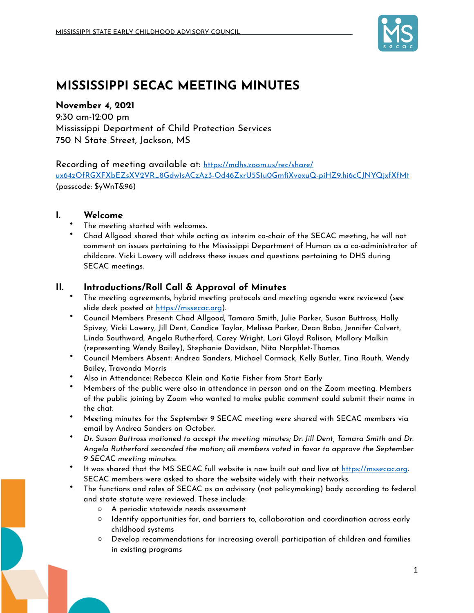

# **MISSISSIPPI SECAC MEETING MINUTES**

### **November 4, 2021**

9:30 am-12:00 pm Mississippi Department of Child Protection Services 750 N State Street, Jackson, MS

## Recording of meeting available at: [https://mdhs.zoom.us/rec/share/](https://urldefense.proofpoint.com/v2/url?u=https-3A__mdhs.zoom.us_rec_share_ux64zOfRGXFXbEZsXV2VR-5F8Gdw1sACzAz3-2DOd46ZxrU5S1u0GmfiXvoxuQ-2DpiHZ9.hi6cCJNYQjxfXfMt&d=DwMFAg&c=euGZstcaTDllvimEN8b7jXrwqOf-v5A_CdpgnVfiiMM&r=ar1IyfBwfwSEWbJfC9RCmBafr7vWA8EmrkqRnxYaclg&m=vMzUusV2VYivIzlzBOrofbgueAhbU4H_HhLHh1Qj-_8&s=_uMrvWTKisFNWqOxi62y1dMPTAVaGaaccNV4yvulGJA&e=)

[ux64zOfRGXFXbEZsXV2VR\\_8Gdw1sACzAz3-Od46ZxrU5S1u0GmfiXvoxuQ-piHZ9.hi6cCJNYQjxfXfMt](https://urldefense.proofpoint.com/v2/url?u=https-3A__mdhs.zoom.us_rec_share_ux64zOfRGXFXbEZsXV2VR-5F8Gdw1sACzAz3-2DOd46ZxrU5S1u0GmfiXvoxuQ-2DpiHZ9.hi6cCJNYQjxfXfMt&d=DwMFAg&c=euGZstcaTDllvimEN8b7jXrwqOf-v5A_CdpgnVfiiMM&r=ar1IyfBwfwSEWbJfC9RCmBafr7vWA8EmrkqRnxYaclg&m=vMzUusV2VYivIzlzBOrofbgueAhbU4H_HhLHh1Qj-_8&s=_uMrvWTKisFNWqOxi62y1dMPTAVaGaaccNV4yvulGJA&e=) (passcode: \$yWnT&96)

## **I. Welcome**

- The meeting started with welcomes.
- Chad Allgood shared that while acting as interim co-chair of the SECAC meeting, he will not comment on issues pertaining to the Mississippi Department of Human as a co-administrator of childcare. Vicki Lowery will address these issues and questions pertaining to DHS during SECAC meetings.

## **II. Introductions/Roll Call & Approval of Minutes**

- The meeting agreements, hybrid meeting protocols and meeting agenda were reviewed (see slide deck posted at [https://mssecac.org\)](https://mssecac.org).
- Council Members Present: Chad Allgood, Tamara Smith, Julie Parker, Susan Buttross, Holly Spivey, Vicki Lowery, Jill Dent, Candice Taylor, Melissa Parker, Dean Bobo, Jennifer Calvert, Linda Southward, Angela Rutherford, Carey Wright, Lori Gloyd Rolison, Mallory Malkin (representing Wendy Bailey), Stephanie Davidson, Nita Norphlet-Thomas
- Council Members Absent: Andrea Sanders, Michael Cormack, Kelly Butler, Tina Routh, Wendy Bailey, Travonda Morris
- Also in Attendance: Rebecca Klein and Katie Fisher from Start Early
- Members of the public were also in attendance in person and on the Zoom meeting. Members of the public joining by Zoom who wanted to make public comment could submit their name in the chat.
- Meeting minutes for the September 9 SECAC meeting were shared with SECAC members via email by Andrea Sanders on October.
- *Dr. Susan Buttross motioned to accept the meeting minutes; Dr. Jill Dent, Tamara Smith and Dr. Angela Rutherford seconded the motion; all members voted in favor to approve the September 9 SECAC meeting minutes.*
- It was shared that the MS SECAC full website is now built out and live at [https://mssecac.org.](https://mssecac.org) SECAC members were asked to share the website widely with their networks.
- The functions and roles of SECAC as an advisory (not policymaking) body according to federal and state statute were reviewed. These include:
	- o A periodic statewide needs assessment
	- $\circ$  Identify opportunities for, and barriers to, collaboration and coordination across early childhood systems
	- $\circ$  Develop recommendations for increasing overall participation of children and families in existing programs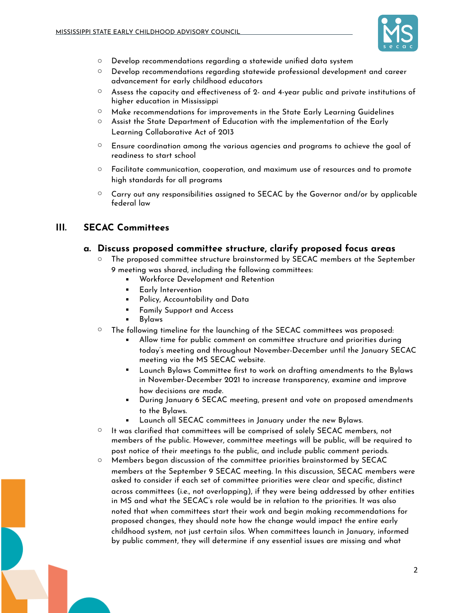

- $\circ$  Develop recommendations regarding a statewide unified data system
- $\circ$  Develop recommendations regarding statewide professional development and career advancement for early childhood educators
- $\circ$  Assess the capacity and effectiveness of 2- and 4-year public and private institutions of higher education in Mississippi
- $\circ$  Make recommendations for improvements in the State Early Learning Guidelines
- $\circ$  Assist the State Department of Education with the implementation of the Early Learning Collaborative Act of 2013
- $\circ$  Ensure coordination among the various agencies and programs to achieve the goal of readiness to start school
- $\circ$  Facilitate communication, cooperation, and maximum use of resources and to promote high standards for all programs
- $\circ$  Carry out any responsibilities assigned to SECAC by the Governor and/or by applicable federal law

## **III. SECAC Committees**

#### **a. Discuss proposed committee structure, clarify proposed focus areas**

- o The proposed committee structure brainstormed by SECAC members at the September 9 meeting was shared, including the following committees:
	- Workforce Development and Retention
	- Early Intervention
	- Policy, Accountability and Data
	- Family Support and Access
	- **Bylaws**
- $\circ$  The following timeline for the launching of the SECAC committees was proposed:
	- Allow time for public comment on committee structure and priorities during today's meeting and throughout November-December until the January SECAC meeting via the MS SECAC website.
	- Launch Bylaws Committee first to work on drafting amendments to the Bylaws in November-December 2021 to increase transparency, examine and improve how decisions are made.
	- During January 6 SECAC meeting, present and vote on proposed amendments to the Bylaws.
	- Launch all SECAC committees in January under the new Bylaws.
- $\circ$  It was clarified that committees will be comprised of solely SECAC members, not members of the public. However, committee meetings will be public, will be required to post notice of their meetings to the public, and include public comment periods.
- $\circ$  Members began discussion of the committee priorities brainstormed by SECAC members at the September 9 SECAC meeting. In this discussion, SECAC members were asked to consider if each set of committee priorities were clear and specific, distinct across committees (i.e., not overlapping), if they were being addressed by other entities in MS and what the SECAC's role would be in relation to the priorities. It was also noted that when committees start their work and begin making recommendations for proposed changes, they should note how the change would impact the entire early childhood system, not just certain silos. When committees launch in January, informed by public comment, they will determine if any essential issues are missing and what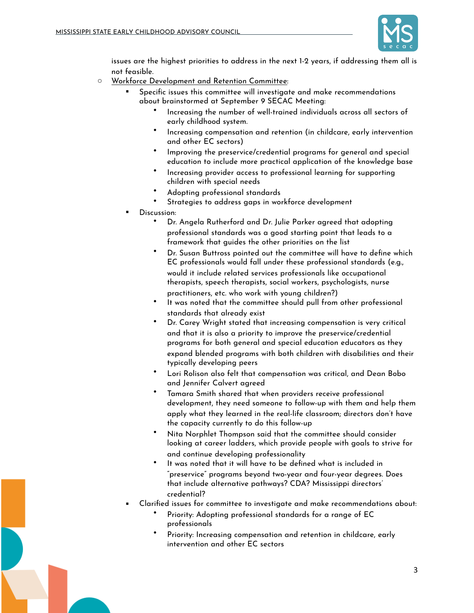

issues are the highest priorities to address in the next 1-2 years, if addressing them all is not feasible.

- o Workforce Development and Retention Committee:
	- Specific issues this committee will investigate and make recommendations about brainstormed at September 9 SECAC Meeting:
		- Increasing the number of well-trained individuals across all sectors of early childhood system.
		- Increasing compensation and retention (in childcare, early intervention and other EC sectors)
		- Improving the preservice/credential programs for general and special education to include more practical application of the knowledge base
		- Increasing provider access to professional learning for supporting children with special needs
		- Adopting professional standards
		- Strategies to address gaps in workforce development
	- Discussion:
		- Dr. Angela Rutherford and Dr. Julie Parker agreed that adopting professional standards was a good starting point that leads to a framework that guides the other priorities on the list
		- Dr. Susan Buttross pointed out the committee will have to define which EC professionals would fall under these professional standards (e.g., would it include related services professionals like occupational therapists, speech therapists, social workers, psychologists, nurse practitioners, etc. who work with young children?)
		- It was noted that the committee should pull from other professional standards that already exist
		- Dr. Carey Wright stated that increasing compensation is very critical and that it is also a priority to improve the preservice/credential programs for both general and special education educators as they expand blended programs with both children with disabilities and their typically developing peers
		- Lori Rolison also felt that compensation was critical, and Dean Bobo and Jennifer Calvert agreed
		- Tamara Smith shared that when providers receive professional development, they need someone to follow-up with them and help them apply what they learned in the real-life classroom; directors don't have the capacity currently to do this follow-up
		- Nita Norphlet Thompson said that the committee should consider looking at career ladders, which provide people with goals to strive for and continue developing professionality
		- It was noted that it will have to be defined what is included in "preservice" programs beyond two-year and four-year degrees. Does that include alternative pathways? CDA? Mississippi directors' credential?
	- Clarified issues for committee to investigate and make recommendations about:
		- Priority: Adopting professional standards for a range of EC professionals
		- Priority: Increasing compensation and retention in childcare, early intervention and other EC sectors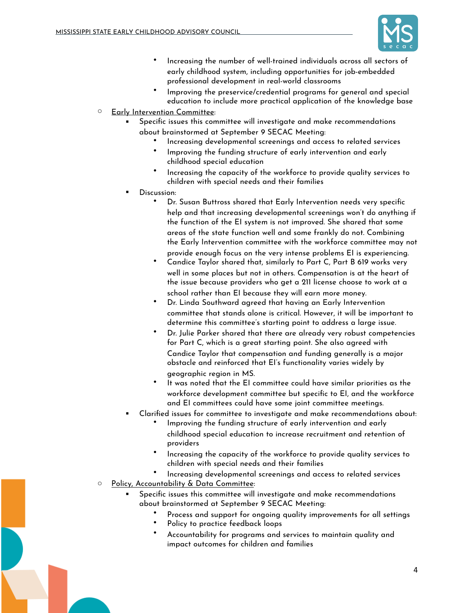

- Increasing the number of well-trained individuals across all sectors of early childhood system, including opportunities for job-embedded professional development in real-world classrooms
- Improving the preservice/credential programs for general and special education to include more practical application of the knowledge base
- o Early Intervention Committee:
	- Specific issues this committee will investigate and make recommendations about brainstormed at September 9 SECAC Meeting:
		- Increasing developmental screenings and access to related services
		- Improving the funding structure of early intervention and early childhood special education
		- Increasing the capacity of the workforce to provide quality services to children with special needs and their families
	- Discussion:
		- Dr. Susan Buttross shared that Early Intervention needs very specific help and that increasing developmental screenings won't do anything if the function of the EI system is not improved. She shared that some areas of the state function well and some frankly do not. Combining the Early Intervention committee with the workforce committee may not
		- provide enough focus on the very intense problems EI is experiencing. • Candice Taylor shared that, similarly to Part C, Part B 619 works very well in some places but not in others. Compensation is at the heart of the issue because providers who get a 211 license choose to work at a school rather than EI because they will earn more money.
		- Dr. Linda Southward agreed that having an Early Intervention committee that stands alone is critical. However, it will be important to determine this committee's starting point to address a large issue.
		- Dr. Julie Parker shared that there are already very robust competencies for Part C, which is a great starting point. She also agreed with Candice Taylor that compensation and funding generally is a major obstacle and reinforced that EI's functionality varies widely by geographic region in MS.
		- It was noted that the EI committee could have similar priorities as the workforce development committee but specific to EI, and the workforce and EI committees could have some joint committee meetings.
	- Clarified issues for committee to investigate and make recommendations about:
		- Improving the funding structure of early intervention and early childhood special education to increase recruitment and retention of providers
		- Increasing the capacity of the workforce to provide quality services to children with special needs and their families
		- Increasing developmental screenings and access to related services
- o Policy, Accountability & Data Committee:
	- Specific issues this committee will investigate and make recommendations about brainstormed at September 9 SECAC Meeting:
		- Process and support for ongoing quality improvements for all settings
		- Policy to practice feedback loops
		- Accountability for programs and services to maintain quality and impact outcomes for children and families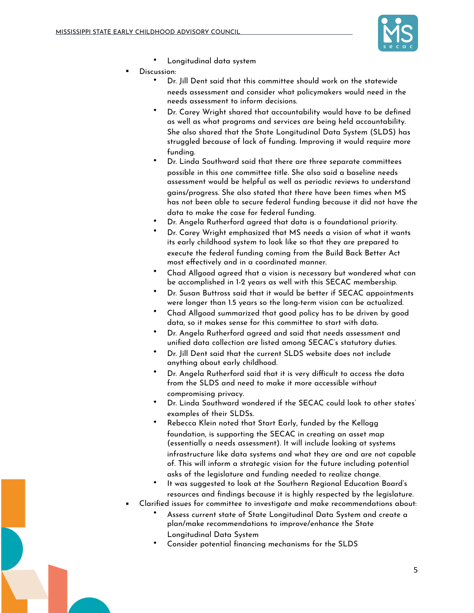

- Longitudinal data system
- Discussion:
	- Dr. Jill Dent said that this committee should work on the statewide needs assessment and consider what policymakers would need in the needs assessment to inform decisions.
	- Dr. Carey Wright shared that accountability would have to be defined as well as what programs and services are being held accountability. She also shared that the State Longitudinal Data System (SLDS) has struggled because of lack of funding. Improving it would require more funding.
	- Dr. Linda Southward said that there are three separate committees possible in this one committee title. She also said a baseline needs assessment would be helpful as well as periodic reviews to understand gains/progress. She also stated that there have been times when MS has not been able to secure federal funding because it did not have the data to make the case for federal funding.
	- Dr. Angela Rutherford agreed that data is a foundational priority.
	- Dr. Carey Wright emphasized that MS needs a vision of what it wants its early childhood system to look like so that they are prepared to execute the federal funding coming from the Build Back Better Act most effectively and in a coordinated manner.
	- Chad Allgood agreed that a vision is necessary but wondered what can be accomplished in 1-2 years as well with this SECAC membership.
	- Dr. Susan Buttross said that it would be better if SECAC appointments were longer than 1.5 years so the long-term vision can be actualized.
	- Chad Allgood summarized that good policy has to be driven by good data, so it makes sense for this committee to start with data.
	- Dr. Angela Rutherford agreed and said that needs assessment and unified data collection are listed among SECAC's statutory duties.
	- Dr. Jill Dent said that the current SLDS website does not include anything about early childhood.
	- Dr. Angela Rutherford said that it is very difficult to access the data from the SLDS and need to make it more accessible without compromising privacy.
	- Dr. Linda Southward wondered if the SECAC could look to other states' examples of their SLDSs.
	- Rebecca Klein noted that Start Early, funded by the Kellogg foundation, is supporting the SECAC in creating an asset map (essentially a needs assessment). It will include looking at systems infrastructure like data systems and what they are and are not capable of. This will inform a strategic vision for the future including potential asks of the legislature and funding needed to realize change.
	- It was suggested to look at the Southern Regional Education Board's resources and findings because it is highly respected by the legislature.
- Clarified issues for committee to investigate and make recommendations about:
	- Assess current state of State Longitudinal Data System and create a plan/make recommendations to improve/enhance the State Longitudinal Data System
	- Consider potential financing mechanisms for the SLDS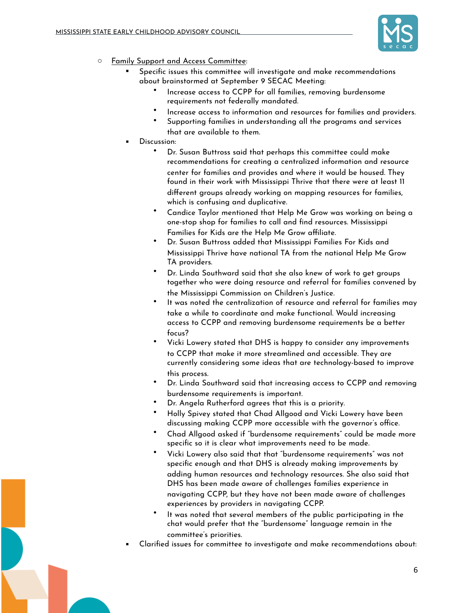

- o Family Support and Access Committee:
	- Specific issues this committee will investigate and make recommendations about brainstormed at September 9 SECAC Meeting:
		- Increase access to CCPP for all families, removing burdensome requirements not federally mandated.
		- Increase access to information and resources for families and providers.
		- Supporting families in understanding all the programs and services that are available to them.
	- Discussion:
		- Dr. Susan Buttross said that perhaps this committee could make recommendations for creating a centralized information and resource center for families and provides and where it would be housed. They found in their work with Mississippi Thrive that there were at least 11 different groups already working on mapping resources for families, which is confusing and duplicative.
		- Candice Taylor mentioned that Help Me Grow was working on being a one-stop shop for families to call and find resources. Mississippi Families for Kids are the Help Me Grow affiliate.
		- Dr. Susan Buttross added that Mississippi Families For Kids and Mississippi Thrive have national TA from the national Help Me Grow TA providers.
		- Dr. Linda Southward said that she also knew of work to get groups together who were doing resource and referral for families convened by the Mississippi Commission on Children's Justice.
		- It was noted the centralization of resource and referral for families may take a while to coordinate and make functional. Would increasing access to CCPP and removing burdensome requirements be a better focus?
		- Vicki Lowery stated that DHS is happy to consider any improvements to CCPP that make it more streamlined and accessible. They are currently considering some ideas that are technology-based to improve this process.
		- Dr. Linda Southward said that increasing access to CCPP and removing burdensome requirements is important.
		- Dr. Angela Rutherford agrees that this is a priority.
		- Holly Spivey stated that Chad Allgood and Vicki Lowery have been discussing making CCPP more accessible with the governor's office.
		- Chad Allgood asked if "burdensome requirements" could be made more specific so it is clear what improvements need to be made.
		- Vicki Lowery also said that that "burdensome requirements" was not specific enough and that DHS is already making improvements by adding human resources and technology resources. She also said that DHS has been made aware of challenges families experience in navigating CCPP, but they have not been made aware of challenges experiences by providers in navigating CCPP.
		- It was noted that several members of the public participating in the chat would prefer that the "burdensome" language remain in the committee's priorities.
	- Clarified issues for committee to investigate and make recommendations about: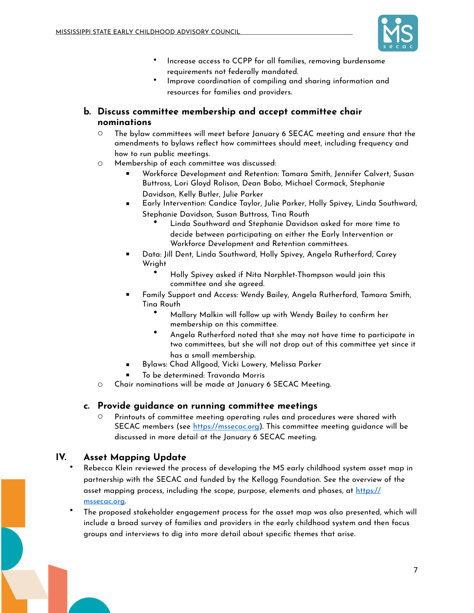

- Increase access to CCPP for all families, removing burdensome requirements not federally mandated.
- Improve coordination of compiling and sharing information and resources for families and providers.
- **b. Discuss committee membership and accept committee chair nominations**
	- o The bylaw committees will meet before January 6 SECAC meeting and ensure that the amendments to bylaws reflect how committees should meet, including frequency and how to run public meetings.
	- o Membership of each committee was discussed:
		- Workforce Development and Retention: Tamara Smith, Jennifer Calvert, Susan Buttross, Lori Gloyd Rolison, Dean Bobo, Michael Cormack, Stephanie Davidson, Kelly Butler, Julie Parker
		- Early Intervention: Candice Taylor, Julie Parker, Holly Spivey, Linda Southward, Stephanie Davidson, Susan Buttross, Tina Routh
			- Linda Southward and Stephanie Davidson asked for more time to decide between participating on either the Early Intervention or Workforce Development and Retention committees.
		- Data: Jill Dent, Linda Southward, Holly Spivey, Angela Rutherford, Carey Wright
			- Holly Spivey asked if Nita Norphlet-Thompson would join this committee and she agreed.
		- Family Support and Access: Wendy Bailey, Angela Rutherford, Tamara Smith, Tina Routh
			- Mallory Malkin will follow up with Wendy Bailey to confirm her membership on this committee.
			- Angela Rutherford noted that she may not have time to participate in two committees, but she will not drop out of this committee yet since it has a small membership.
		- Bylaws: Chad Allgood, Vicki Lowery, Melissa Parker
		- To be determined: Travonda Morris
	- o Chair nominations will be made at January 6 SECAC Meeting.

#### **c. Provide guidance on running committee meetings**

Printouts of committee meeting operating rules and procedures were shared with SECAC members (see<https://mssecac.org>). This committee meeting guidance will be discussed in more detail at the January 6 SECAC meeting.

## **IV. Asset Mapping Update**

- Rebecca Klein reviewed the process of developing the MS early childhood system asset map in partnership with the SECAC and funded by the Kellogg Foundation. See the overview of the asset mapping process, including the scope, purpose, elements and phases, at [https://](https://mssecac.org) [mssecac.org](https://mssecac.org).
- The proposed stakeholder engagement process for the asset map was also presented, which will include a broad survey of families and providers in the early childhood system and then focus groups and interviews to dig into more detail about specific themes that arise.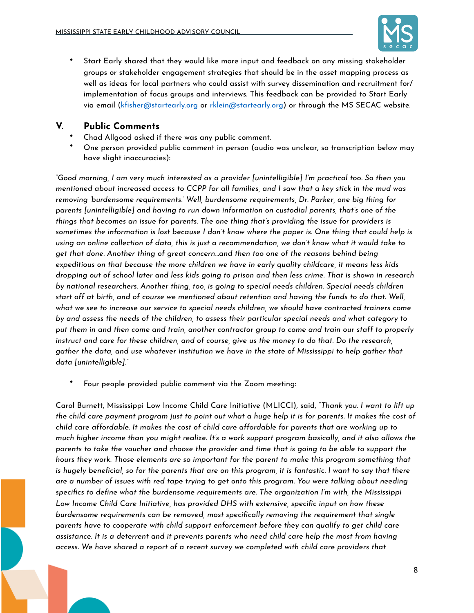

• Start Early shared that they would like more input and feedback on any missing stakeholder groups or stakeholder engagement strategies that should be in the asset mapping process as well as ideas for local partners who could assist with survey dissemination and recruitment for/ implementation of focus groups and interviews. This feedback can be provided to Start Early via email [\(kfisher@startearly.org](mailto:kfisher@startearly.org) or [rklein@startearly.org](mailto:rklein@startearly.org)) or through the MS SECAC website.

## **V. Public Comments**

- Chad Allgood asked if there was any public comment.
- One person provided public comment in person (audio was unclear, so transcription below may have slight inaccuracies):

*"Good morning, I am very much interested as a provider [unintelligible] I'm practical too. So then you mentioned about increased access to CCPP for all families, and I saw that a key stick in the mud was removing 'burdensome requirements.' Well, burdensome requirements, Dr. Parker, one big thing for parents [unintelligible] and having to run down information on custodial parents, that's one of the things that becomes an issue for parents. The one thing that's providing the issue for providers is sometimes the information is lost because I don't know where the paper is. One thing that could help is using an online collection of data, this is just a recommendation, we don't know what it would take to get that done. Another thing of great concern…and then too one of the reasons behind being expeditious on that because the more children we have in early quality childcare, it means less kids dropping out of school later and less kids going to prison and then less crime. That is shown in research by national researchers. Another thing, too, is going to special needs children. Special needs children start off at birth, and of course we mentioned about retention and having the funds to do that. Well, what we see to increase our service to special needs children, we should have contracted trainers come by and assess the needs of the children, to assess their particular special needs and what category to put them in and then come and train, another contractor group to come and train our staff to properly instruct and care for these children, and of course, give us the money to do that. Do the research, gather the data, and use whatever institution we have in the state of Mississippi to help gather that data [unintelligible]."*

• Four people provided public comment via the Zoom meeting:

Carol Burnett, Mississippi Low Income Child Care Initiative (MLICCI), said, "*Thank you. I want to lift up the child care payment program just to point out what a huge help it is for parents. It makes the cost of child care affordable. It makes the cost of child care affordable for parents that are working up to much higher income than you might realize. It's a work support program basically, and it also allows the parents to take the voucher and choose the provider and time that is going to be able to support the hours they work. Those elements are so important for the parent to make this program something that is hugely beneficial, so for the parents that are on this program, it is fantastic. I want to say that there are a number of issues with red tape trying to get onto this program. You were talking about needing specifics to define what the burdensome requirements are. The organization I'm with, the Mississippi Low Income Child Care Initiative, has provided DHS with extensive, specific input on how these burdensome requirements can be removed, most specifically removing the requirement that single parents have to cooperate with child support enforcement before they can qualify to get child care assistance. It is a deterrent and it prevents parents who need child care help the most from having access. We have shared a report of a recent survey we completed with child care providers that*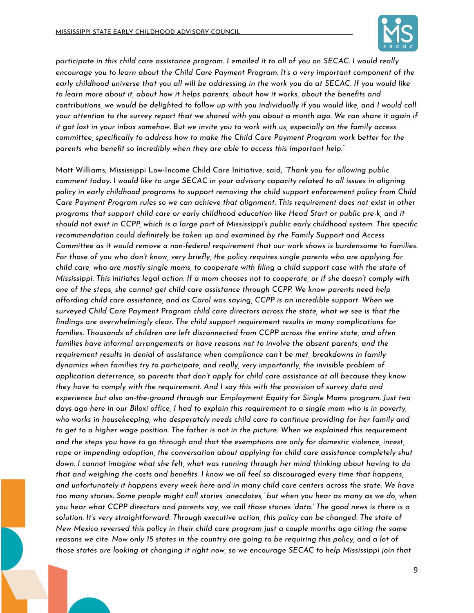

*participate in this child care assistance program. I emailed it to all of you on SECAC. I would really encourage you to learn about the Child Care Payment Program. It's a very important component of the early childhood universe that you all will be addressing in the work you do at SECAC. If you would like to learn more about it, about how it helps parents, about how it works, about the benefits and contributions, we would be delighted to follow up with you individually if you would like, and I would call your attention to the survey report that we shared with you about a month ago. We can share it again if it got lost in your inbox somehow. But we invite you to work with us, especially on the family access committee, specifically to address how to make the Child Care Payment Program work better for the parents who benefit so incredibly when they are able to access this important help."*

Matt Williams, Mississippi Low-Income Child Care Initiative, said, *"Thank you for allowing public comment today. I would like to urge SECAC in your advisory capacity related to all issues in aligning policy in early childhood programs to support removing the child support enforcement policy from Child Care Payment Program rules so we can achieve that alignment. This requirement does not exist in other programs that support child care or early childhood education like Head Start or public pre-k, and it should not exist in CCPP, which is a large part of Mississippi's public early childhood system. This specific recommendation could definitely be taken up and examined by the Family Support and Access Committee as it would remove a non-federal requirement that our work shows is burdensome to families. For those of you who don't know, very briefly, the policy requires single parents who are applying for child care, who are mostly single moms, to cooperate with filing a child support case with the state of Mississippi. This initiates legal action. If a mom chooses not to cooperate, or if she doesn't comply with one of the steps, she cannot get child care assistance through CCPP. We know parents need help affording child care assistance, and as Carol was saying, CCPP is an incredible support. When we surveyed Child Care Payment Program child care directors across the state, what we see is that the findings are overwhelmingly clear. The child support requirement results in many complications for families. Thousands of children are left disconnected from CCPP across the entire state, and often families have informal arrangements or have reasons not to involve the absent parents, and the requirement results in denial of assistance when compliance can't be met, breakdowns in family dynamics when families try to participate, and really, very importantly, the invisible problem of application deterrence, so parents that don't apply for child care assistance at all because they know they have to comply with the requirement. And I say this with the provision of survey data and experience but also on-the-ground through our Employment Equity for Single Moms program. Just two days ago here in our Biloxi office, I had to explain this requirement to a single mom who is in poverty, who works in housekeeping, who desperately needs child care to continue providing for her family and to get to a higher wage position. The father is not in the picture. When we explained this requirement and the steps you have to go through and that the exemptions are only for domestic violence, incest, rape or impending adoption, the conversation about applying for child care assistance completely shut down. I cannot imagine what she felt, what was running through her mind thinking about having to do that and weighing the costs and benefits. I know we all feel so discouraged every time that happens, and unfortunately it happens every week here and in many child care centers across the state. We have too many stories. Some people might call stories 'anecdotes,' but when you hear as many as we do, when you hear what CCPP directors and parents say, we call those stories 'data.' The good news is there is a solution. It's very straightforward. Through executive action, this policy can be changed. The state of New Mexico reversed this policy in their child care program just a couple months ago citing the same reasons we cite. Now only 15 states in the country are going to be requiring this policy, and a lot of those states are looking at changing it right now, so we encourage SECAC to help Mississippi join that*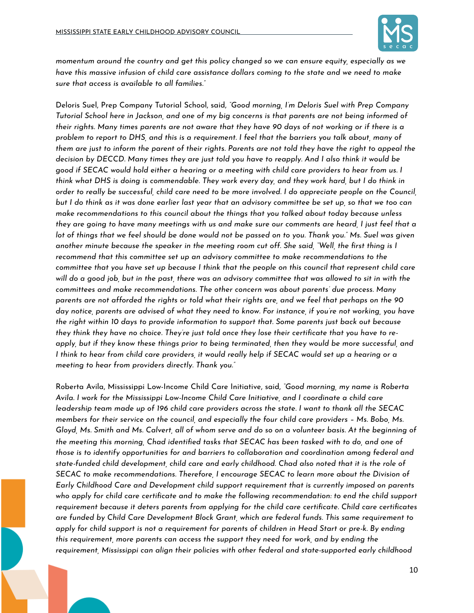

*momentum around the country and get this policy changed so we can ensure equity, especially as we have this massive infusion of child care assistance dollars coming to the state and we need to make sure that access is available to all families."*

Deloris Suel, Prep Company Tutorial School, said, *"Good morning, I'm Deloris Suel with Prep Company Tutorial School here in Jackson, and one of my big concerns is that parents are not being informed of their rights. Many times parents are not aware that they have 90 days of not working or if there is a problem to report to DHS, and this is a requirement. I feel that the barriers you talk about, many of them are just to inform the parent of their rights. Parents are not told they have the right to appeal the decision by DECCD. Many times they are just told you have to reapply. And I also think it would be good if SECAC would hold either a hearing or a meeting with child care providers to hear from us. I think what DHS is doing is commendable. They work every day, and they work hard, but I do think in order to really be successful, child care need to be more involved. I do appreciate people on the Council, but I do think as it was done earlier last year that an advisory committee be set up, so that we too can make recommendations to this council about the things that you talked about today because unless they are going to have many meetings with us and make sure our comments are heard, I just feel that a lot of things that we feel should be done would not be passed on to you. Thank you." Ms. Suel was given another minute because the speaker in the meeting room cut off. She said, "Well, the first thing is I recommend that this committee set up an advisory committee to make recommendations to the committee that you have set up because I think that the people on this council that represent child care will do a good job, but in the past, there was an advisory committee that was allowed to sit in with the committees and make recommendations. The other concern was about parents' due process. Many parents are not afforded the rights or told what their rights are, and we feel that perhaps on the 90 day notice, parents are advised of what they need to know. For instance, if you're not working, you have the right within 10 days to provide information to support that. Some parents just back out because they think they have no choice. They're just told once they lose their certificate that you have to reapply, but if they know these things prior to being terminated, then they would be more successful, and I think to hear from child care providers, it would really help if SECAC would set up a hearing or a meeting to hear from providers directly. Thank you."*

Roberta Avila, Mississippi Low-Income Child Care Initiative, said, *"Good morning, my name is Roberta Avila. I work for the Mississippi Low-Income Child Care Initiative, and I coordinate a child care leadership team made up of 196 child care providers across the state. I want to thank all the SECAC members for their service on the council, and especially the four child care providers – Ms. Bobo, Ms. Gloyd, Ms. Smith and Ms. Calvert, all of whom serve and do so on a volunteer basis. At the beginning of the meeting this morning, Chad identified tasks that SECAC has been tasked with to do, and one of those is to identify opportunities for and barriers to collaboration and coordination among federal and state-funded child development, child care and early childhood. Chad also noted that it is the role of SECAC to make recommendations. Therefore, I encourage SECAC to learn more about the Division of Early Childhood Care and Development child support requirement that is currently imposed on parents who apply for child care certificate and to make the following recommendation: to end the child support requirement because it deters parents from applying for the child care certificate. Child care certificates are funded by Child Care Development Block Grant, which are federal funds. This same requirement to apply for child support is not a requirement for parents of children in Head Start or pre-k. By ending this requirement, more parents can access the support they need for work, and by ending the requirement, Mississippi can align their policies with other federal and state-supported early childhood*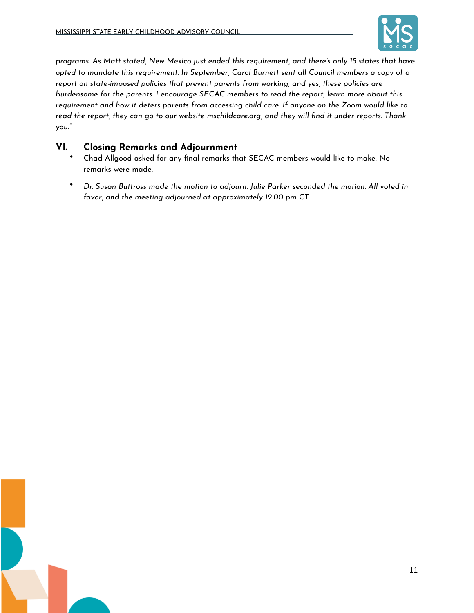

*programs. As Matt stated, New Mexico just ended this requirement, and there's only 15 states that have opted to mandate this requirement. In September, Carol Burnett sent all Council members a copy of a report on state-imposed policies that prevent parents from working, and yes, these policies are burdensome for the parents. I encourage SECAC members to read the report, learn more about this requirement and how it deters parents from accessing child care. If anyone on the Zoom would like to read the report, they can go to our website mschildcare.org, and they will find it under reports. Thank you."*

## **VI. Closing Remarks and Adjournment**

- Chad Allgood asked for any final remarks that SECAC members would like to make. No remarks were made.
- *Dr. Susan Buttross made the motion to adjourn. Julie Parker seconded the motion. All voted in favor, and the meeting adjourned at approximately 12:00 pm CT.*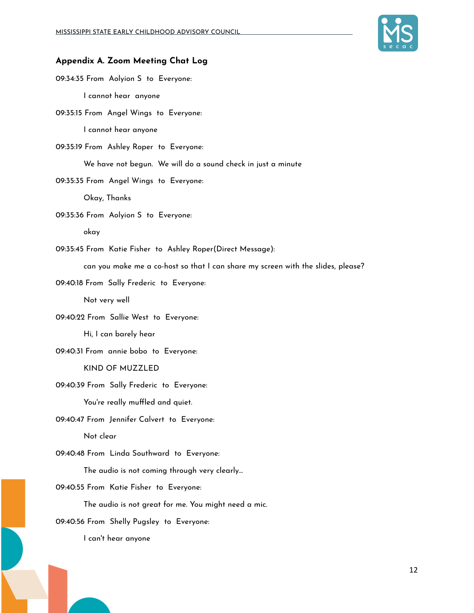

#### **Appendix A. Zoom Meeting Chat Log**

09:34:35 From Aolyion S to Everyone: I cannot hear anyone

09:35:15 From Angel Wings to Everyone:

I cannot hear anyone

09:35:19 From Ashley Roper to Everyone:

We have not begun. We will do a sound check in just a minute

09:35:35 From Angel Wings to Everyone:

Okay, Thanks

09:35:36 From Aolyion S to Everyone:

okay

09:35:45 From Katie Fisher to Ashley Roper(Direct Message):

can you make me a co-host so that I can share my screen with the slides, please?

09:40:18 From Sally Frederic to Everyone:

Not very well

09:40:22 From Sallie West to Everyone:

Hi, I can barely hear

09:40:31 From annie bobo to Everyone:

KIND OF MUZZLED

09:40:39 From Sally Frederic to Everyone:

You're really muffled and quiet.

09:40:47 From Jennifer Calvert to Everyone:

Not clear

09:40:48 From Linda Southward to Everyone:

The audio is not coming through very clearly...

09:40:55 From Katie Fisher to Everyone:

The audio is not great for me. You might need a mic.

09:40:56 From Shelly Pugsley to Everyone:

I can't hear anyone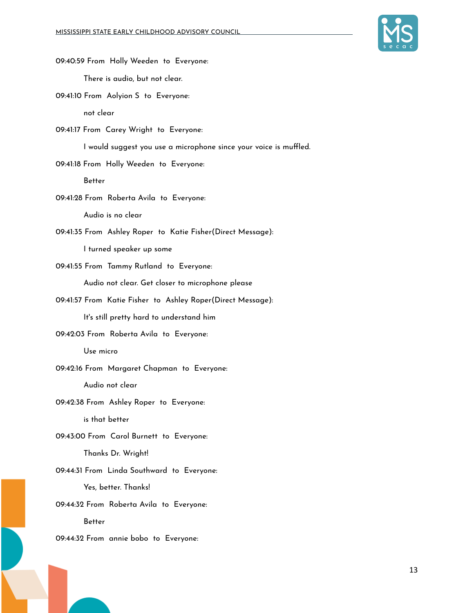

| 09:40:59 From Holly Weeden to Everyone:                           |
|-------------------------------------------------------------------|
| There is audio, but not clear.                                    |
| 09:41:10 From Aolyion S to Everyone:                              |
| not clear                                                         |
| 09:41:17 From Carey Wright to Everyone:                           |
| I would suggest you use a microphone since your voice is muffled. |
| 09:41:18 From Holly Weeden to Everyone:                           |
| Better                                                            |
| 09:41:28 From Roberta Avila to Everyone:                          |
| Audio is no clear                                                 |
| 09:41:35 From Ashley Roper to Katie Fisher(Direct Message):       |
| I turned speaker up some                                          |
| 09:41:55 From Tammy Rutland to Everyone:                          |
| Audio not clear. Get closer to microphone please                  |
| 09:41:57 From Katie Fisher to Ashley Roper(Direct Message):       |
| It's still pretty hard to understand him                          |
| 09:42:03 From Roberta Avila to Everyone:                          |
| Use micro                                                         |
| 09:42:16 From Margaret Chapman to Everyone:                       |
| Audio not clear                                                   |
| 09:42:38 From Ashley Roper to Everyone:                           |
| is that better                                                    |
| 09:43:00 From Carol Burnett to Everyone:                          |
| Thanks Dr. Wright!                                                |
| 09:44:31 From Linda Southward to Everyone:                        |
| Yes, better. Thanks!                                              |
| 09:44:32 From Roberta Avila to Everyone:                          |
| <b>Better</b>                                                     |
| 09:44:32 From annie bobo to Everyone:                             |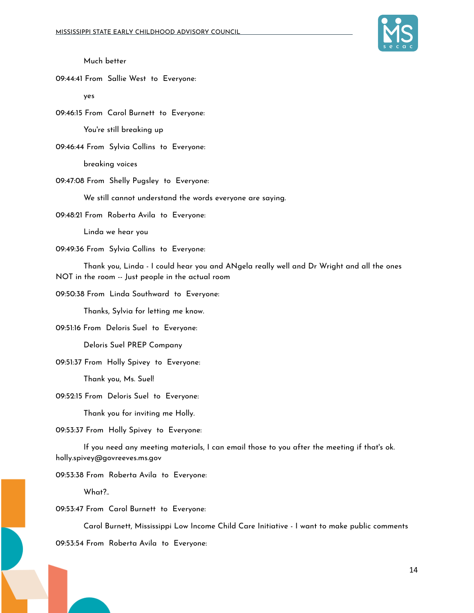

Much better

09:44:41 From Sallie West to Everyone:

yes

09:46:15 From Carol Burnett to Everyone:

You're still breaking up

09:46:44 From Sylvia Collins to Everyone:

breaking voices

09:47:08 From Shelly Pugsley to Everyone:

We still cannot understand the words everyone are saying.

09:48:21 From Roberta Avila to Everyone:

Linda we hear you

09:49:36 From Sylvia Collins to Everyone:

Thank you, Linda - I could hear you and ANgela really well and Dr Wright and all the ones NOT in the room -- Just people in the actual room

09:50:38 From Linda Southward to Everyone:

Thanks, Sylvia for letting me know.

09:51:16 From Deloris Suel to Everyone:

Deloris Suel PREP Company

09:51:37 From Holly Spivey to Everyone:

Thank you, Ms. Suel!

09:52:15 From Deloris Suel to Everyone:

Thank you for inviting me Holly.

09:53:37 From Holly Spivey to Everyone:

If you need any meeting materials, I can email those to you after the meeting if that's ok. holly.spivey@govreeves.ms.gov

09:53:38 From Roberta Avila to Everyone:

What?..

09:53:47 From Carol Burnett to Everyone:

Carol Burnett, Mississippi Low Income Child Care Initiative - I want to make public comments

09:53:54 From Roberta Avila to Everyone: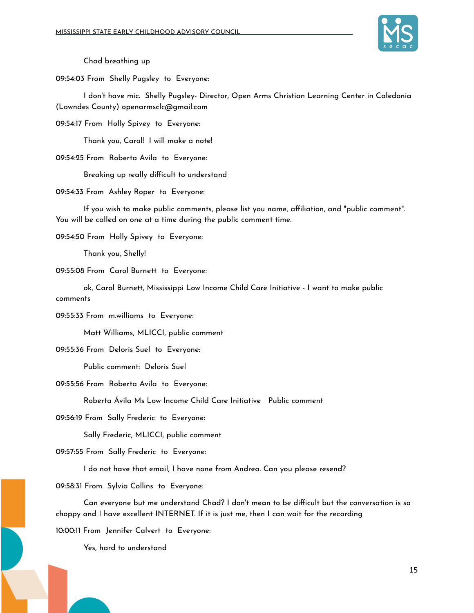

Chad breathing up

09:54:03 From Shelly Pugsley to Everyone:

I don't have mic. Shelly Pugsley- Director, Open Arms Christian Learning Center in Caledonia (Lowndes County) openarmsclc@gmail.com

09:54:17 From Holly Spivey to Everyone:

Thank you, Carol! I will make a note!

09:54:25 From Roberta Avila to Everyone:

Breaking up really difficult to understand

09:54:33 From Ashley Roper to Everyone:

If you wish to make public comments, please list you name, affiliation, and "public comment". You will be called on one at a time during the public comment time.

09:54:50 From Holly Spivey to Everyone:

Thank you, Shelly!

09:55:08 From Carol Burnett to Everyone:

ok, Carol Burnett, Mississippi Low Income Child Care Initiative - I want to make public comments

09:55:33 From m.williams to Everyone:

Matt Williams, MLICCI, public comment

09:55:36 From Deloris Suel to Everyone:

Public comment: Deloris Suel

09:55:56 From Roberta Avila to Everyone:

Roberta Ávila Ms Low Income Child Care Initiative Public comment

09:56:19 From Sally Frederic to Everyone:

Sally Frederic, MLICCI, public comment

09:57:55 From Sally Frederic to Everyone:

I do not have that email, I have none from Andrea. Can you please resend?

09:58:31 From Sylvia Collins to Everyone:

Can everyone but me understand Chad? I don't mean to be difficult but the conversation is so choppy and I have excellent INTERNET. If it is just me, then I can wait for the recording

10:00:11 From Jennifer Calvert to Everyone:

Yes, hard to understand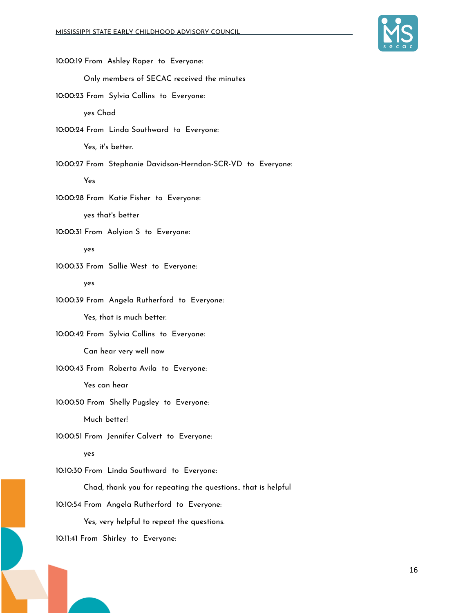

10:00:19 From Ashley Roper to Everyone: Only members of SECAC received the minutes 10:00:23 From Sylvia Collins to Everyone: yes Chad 10:00:24 From Linda Southward to Everyone: Yes, it's better. 10:00:27 From Stephanie Davidson-Herndon-SCR-VD to Everyone: Yes 10:00:28 From Katie Fisher to Everyone: yes that's better 10:00:31 From Aolyion S to Everyone: yes 10:00:33 From Sallie West to Everyone: yes 10:00:39 From Angela Rutherford to Everyone: Yes, that is much better. 10:00:42 From Sylvia Collins to Everyone: Can hear very well now 10:00:43 From Roberta Avila to Everyone: Yes can hear 10:00:50 From Shelly Pugsley to Everyone: Much better! 10:00:51 From Jennifer Calvert to Everyone: yes 10:10:30 From Linda Southward to Everyone: Chad, thank you for repeating the questions.. that is helpful 10:10:54 From Angela Rutherford to Everyone: Yes, very helpful to repeat the questions. 10:11:41 From Shirley to Everyone: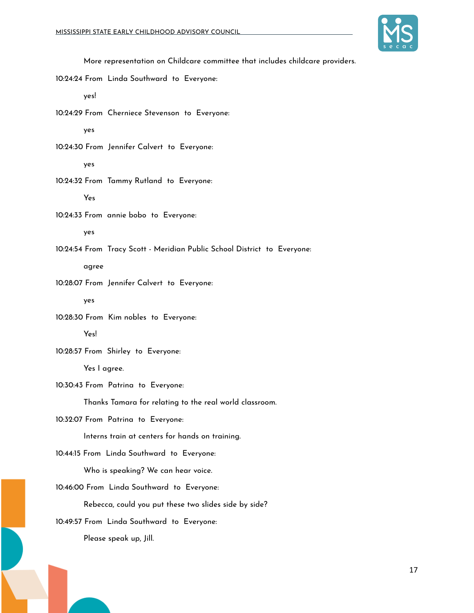

More representation on Childcare committee that includes childcare providers.

10:24:24 From Linda Southward to Everyone:

yes!

10:24:29 From Cherniece Stevenson to Everyone:

yes

10:24:30 From Jennifer Calvert to Everyone:

yes

10:24:32 From Tammy Rutland to Everyone: Yes

10:24:33 From annie bobo to Everyone:

yes

10:24:54 From Tracy Scott - Meridian Public School District to Everyone:

agree

10:28:07 From Jennifer Calvert to Everyone: yes

10:28:30 From Kim nobles to Everyone: Yes!

10:28:57 From Shirley to Everyone:

Yes I agree.

10:30:43 From Patrina to Everyone:

Thanks Tamara for relating to the real world classroom.

10:32:07 From Patrina to Everyone:

Interns train at centers for hands on training.

10:44:15 From Linda Southward to Everyone:

Who is speaking? We can hear voice.

10:46:00 From Linda Southward to Everyone:

Rebecca, could you put these two slides side by side?

10:49:57 From Linda Southward to Everyone:

Please speak up, Jill.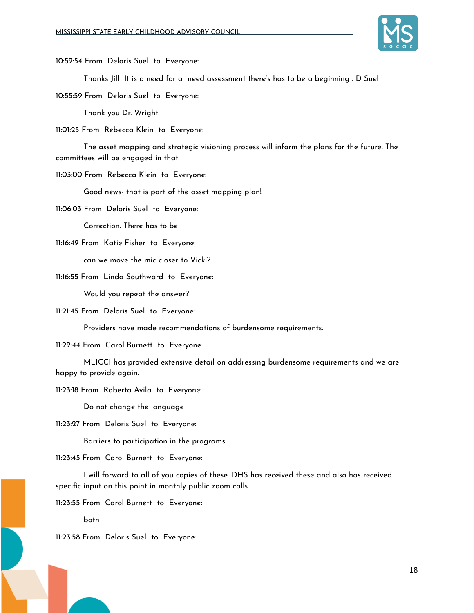

10:52:54 From Deloris Suel to Everyone:

Thanks Jill It is a need for a need assessment there's has to be a beginning . D Suel

10:55:59 From Deloris Suel to Everyone:

Thank you Dr. Wright.

11:01:25 From Rebecca Klein to Everyone:

The asset mapping and strategic visioning process will inform the plans for the future. The committees will be engaged in that.

11:03:00 From Rebecca Klein to Everyone:

Good news- that is part of the asset mapping plan!

11:06:03 From Deloris Suel to Everyone:

Correction. There has to be

11:16:49 From Katie Fisher to Everyone:

can we move the mic closer to Vicki?

11:16:55 From Linda Southward to Everyone:

Would you repeat the answer?

11:21:45 From Deloris Suel to Everyone:

Providers have made recommendations of burdensome requirements.

11:22:44 From Carol Burnett to Everyone:

MLICCI has provided extensive detail on addressing burdensome requirements and we are happy to provide again.

11:23:18 From Roberta Avila to Everyone:

Do not change the language

11:23:27 From Deloris Suel to Everyone:

Barriers to participation in the programs

11:23:45 From Carol Burnett to Everyone:

I will forward to all of you copies of these. DHS has received these and also has received specific input on this point in monthly public zoom calls.

11:23:55 From Carol Burnett to Everyone:

both

11:23:58 From Deloris Suel to Everyone: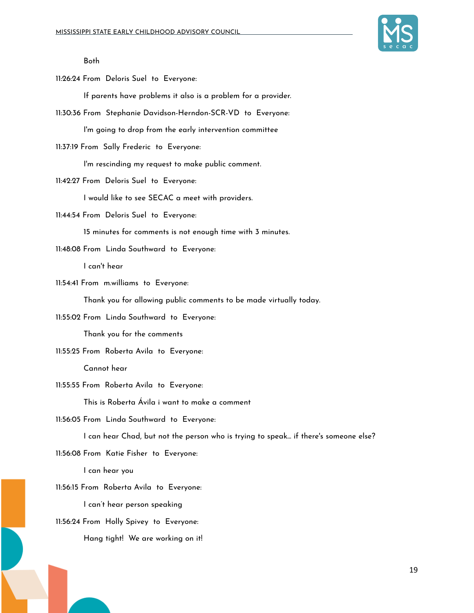

#### Both

11:26:24 From Deloris Suel to Everyone:

If parents have problems it also is a problem for a provider.

11:30:36 From Stephanie Davidson-Herndon-SCR-VD to Everyone:

I'm going to drop from the early intervention committee

11:37:19 From Sally Frederic to Everyone:

I'm rescinding my request to make public comment.

11:42:27 From Deloris Suel to Everyone:

I would like to see SECAC a meet with providers.

11:44:54 From Deloris Suel to Everyone:

15 minutes for comments is not enough time with 3 minutes.

11:48:08 From Linda Southward to Everyone:

I can't hear

11:54:41 From m.williams to Everyone:

Thank you for allowing public comments to be made virtually today.

11:55:02 From Linda Southward to Everyone:

Thank you for the comments

11:55:25 From Roberta Avila to Everyone:

Cannot hear

11:55:55 From Roberta Avila to Everyone:

This is Roberta Ávila i want to make a comment

11:56:05 From Linda Southward to Everyone:

I can hear Chad, but not the person who is trying to speak... if there's someone else?

11:56:08 From Katie Fisher to Everyone:

I can hear you

11:56:15 From Roberta Avila to Everyone:

I can't hear person speaking

11:56:24 From Holly Spivey to Everyone:

Hang tight! We are working on it!